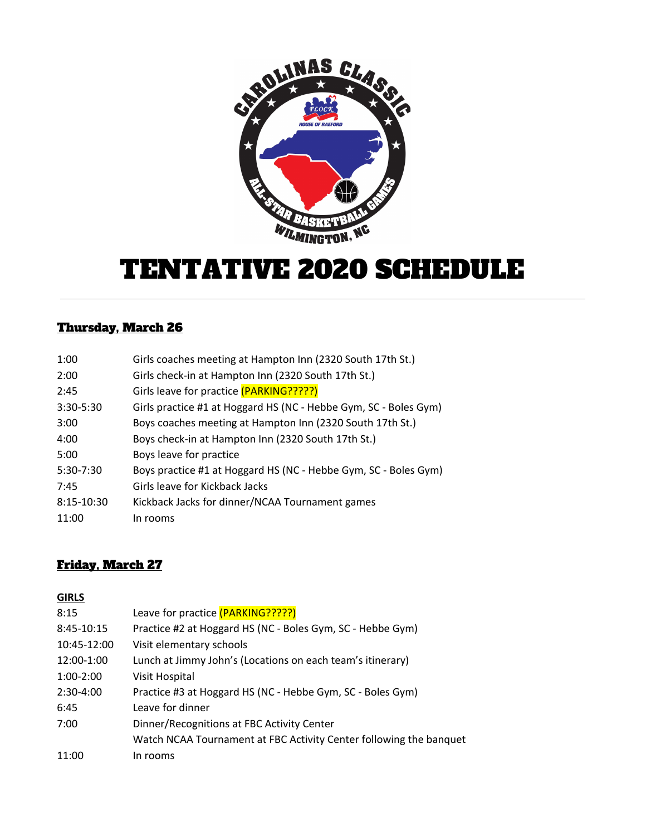

# TENTATIVE 2020 SCHEDULE

## Thursday, March 26

| 1:00        | Girls coaches meeting at Hampton Inn (2320 South 17th St.)       |
|-------------|------------------------------------------------------------------|
| 2:00        | Girls check-in at Hampton Inn (2320 South 17th St.)              |
| 2:45        | Girls leave for practice (PARKING?????)                          |
| 3:30-5:30   | Girls practice #1 at Hoggard HS (NC - Hebbe Gym, SC - Boles Gym) |
| 3:00        | Boys coaches meeting at Hampton Inn (2320 South 17th St.)        |
| 4:00        | Boys check-in at Hampton Inn (2320 South 17th St.)               |
| 5:00        | Boys leave for practice                                          |
| $5:30-7:30$ | Boys practice #1 at Hoggard HS (NC - Hebbe Gym, SC - Boles Gym)  |
| 7:45        | Girls leave for Kickback Jacks                                   |
| 8:15-10:30  | Kickback Jacks for dinner/NCAA Tournament games                  |
| 11:00       | In rooms                                                         |

### Friday, March 27

#### **GIRLS**

| 8:15        | Leave for practice (PARKING?????)                                  |
|-------------|--------------------------------------------------------------------|
| 8:45-10:15  | Practice #2 at Hoggard HS (NC - Boles Gym, SC - Hebbe Gym)         |
| 10:45-12:00 | Visit elementary schools                                           |
| 12:00-1:00  | Lunch at Jimmy John's (Locations on each team's itinerary)         |
| $1:00-2:00$ | Visit Hospital                                                     |
| 2:30-4:00   | Practice #3 at Hoggard HS (NC - Hebbe Gym, SC - Boles Gym)         |
| 6:45        | Leave for dinner                                                   |
| 7:00        | Dinner/Recognitions at FBC Activity Center                         |
|             | Watch NCAA Tournament at FBC Activity Center following the banquet |
| 11:00       | In rooms                                                           |